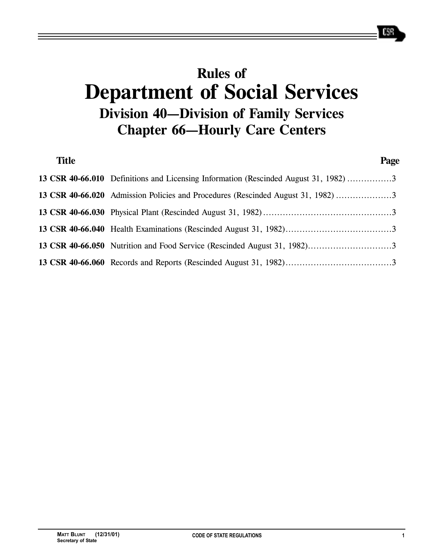# **Rules of Department of Social Services Division 40—Division of Family Services Chapter 66—Hourly Care Centers**

| <b>Title</b> |                                                                                      | Page |
|--------------|--------------------------------------------------------------------------------------|------|
|              | 13 CSR 40-66.010 Definitions and Licensing Information (Rescinded August 31, 1982) 3 |      |
|              |                                                                                      |      |
|              |                                                                                      |      |
|              |                                                                                      |      |
|              |                                                                                      |      |
|              |                                                                                      |      |